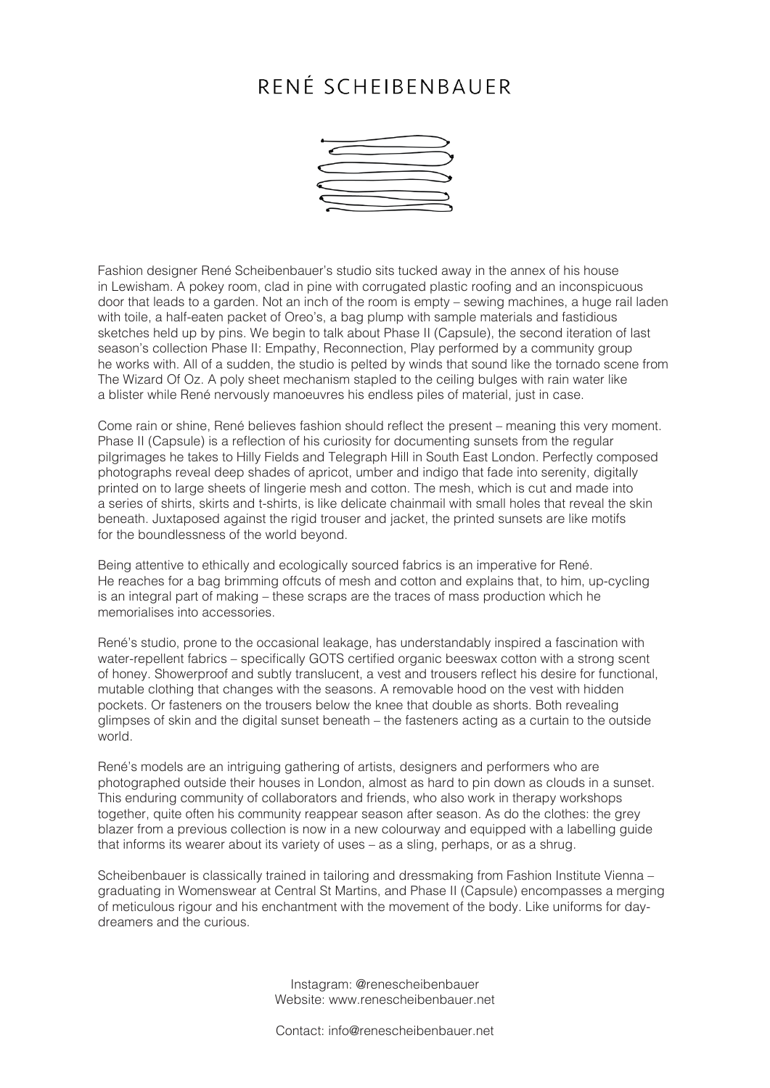## RENÉ SCHEIBENBAUER



Fashion designer René Scheibenbauer's studio sits tucked away in the annex of his house in Lewisham. A pokey room, clad in pine with corrugated plastic roofing and an inconspicuous door that leads to a garden. Not an inch of the room is empty – sewing machines, a huge rail laden with toile, a half-eaten packet of Oreo's, a bag plump with sample materials and fastidious sketches held up by pins. We begin to talk about Phase II (Capsule), the second iteration of last season's collection Phase II: Empathy, Reconnection, Play performed by a community group he works with. All of a sudden, the studio is pelted by winds that sound like the tornado scene from The Wizard Of Oz. A poly sheet mechanism stapled to the ceiling bulges with rain water like a blister while René nervously manoeuvres his endless piles of material, just in case.

Come rain or shine, René believes fashion should reflect the present – meaning this very moment. Phase II (Capsule) is a reflection of his curiosity for documenting sunsets from the regular pilgrimages he takes to Hilly Fields and Telegraph Hill in South East London. Perfectly composed photographs reveal deep shades of apricot, umber and indigo that fade into serenity, digitally printed on to large sheets of lingerie mesh and cotton. The mesh, which is cut and made into a series of shirts, skirts and t-shirts, is like delicate chainmail with small holes that reveal the skin beneath. Juxtaposed against the rigid trouser and jacket, the printed sunsets are like motifs for the boundlessness of the world beyond.

Being attentive to ethically and ecologically sourced fabrics is an imperative for René. He reaches for a bag brimming offcuts of mesh and cotton and explains that, to him, up-cycling is an integral part of making – these scraps are the traces of mass production which he memorialises into accessories.

René's studio, prone to the occasional leakage, has understandably inspired a fascination with water-repellent fabrics – specifically GOTS certified organic beeswax cotton with a strong scent of honey. Showerproof and subtly translucent, a vest and trousers reflect his desire for functional, mutable clothing that changes with the seasons. A removable hood on the vest with hidden pockets. Or fasteners on the trousers below the knee that double as shorts. Both revealing glimpses of skin and the digital sunset beneath – the fasteners acting as a curtain to the outside world.

René's models are an intriguing gathering of artists, designers and performers who are photographed outside their houses in London, almost as hard to pin down as clouds in a sunset. This enduring community of collaborators and friends, who also work in therapy workshops together, quite often his community reappear season after season. As do the clothes: the grey blazer from a previous collection is now in a new colourway and equipped with a labelling guide that informs its wearer about its variety of uses – as a sling, perhaps, or as a shrug.

Scheibenbauer is classically trained in tailoring and dressmaking from Fashion Institute Vienna – graduating in Womenswear at Central St Martins, and Phase II (Capsule) encompasses a merging of meticulous rigour and his enchantment with the movement of the body. Like uniforms for daydreamers and the curious.

> Instagram: @renescheibenbauer Website: www.renescheibenbauer.net

Contact: info@renescheibenbauer.net